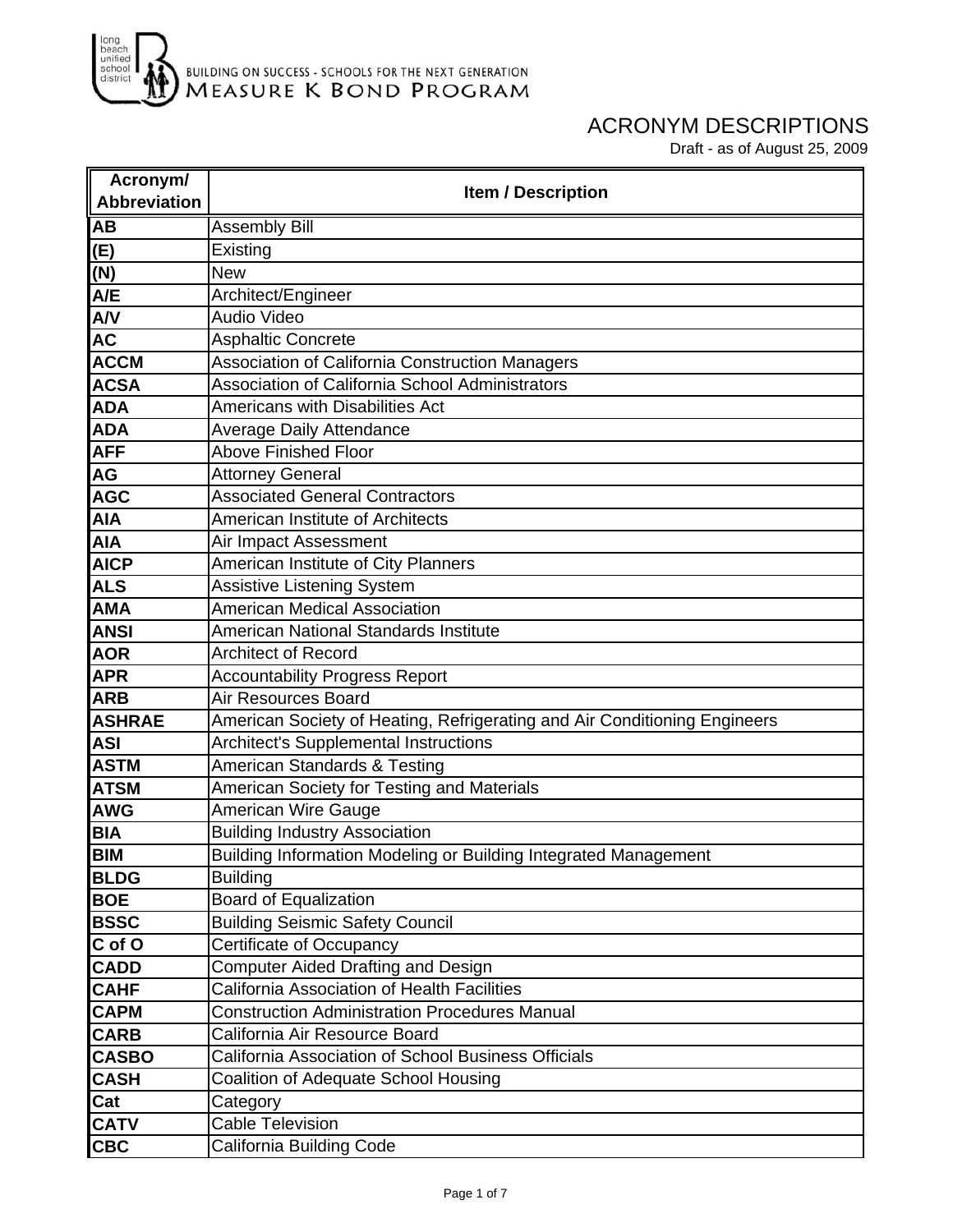

| Acronym/            |                                                                           |
|---------------------|---------------------------------------------------------------------------|
| <b>Abbreviation</b> | <b>Item / Description</b>                                                 |
| <b>AB</b>           | <b>Assembly Bill</b>                                                      |
| (E)                 | Existing                                                                  |
| (N)                 | <b>New</b>                                                                |
| A/E                 | Architect/Engineer                                                        |
| A/V                 | Audio Video                                                               |
| <b>AC</b>           | <b>Asphaltic Concrete</b>                                                 |
| <b>ACCM</b>         | Association of California Construction Managers                           |
| <b>ACSA</b>         | <b>Association of California School Administrators</b>                    |
| <b>ADA</b>          | Americans with Disabilities Act                                           |
| <b>ADA</b>          | <b>Average Daily Attendance</b>                                           |
| <b>AFF</b>          | <b>Above Finished Floor</b>                                               |
| AG                  | <b>Attorney General</b>                                                   |
| <b>AGC</b>          | <b>Associated General Contractors</b>                                     |
| <b>AIA</b>          | American Institute of Architects                                          |
| <b>AIA</b>          | Air Impact Assessment                                                     |
| <b>AICP</b>         | American Institute of City Planners                                       |
| <b>ALS</b>          | <b>Assistive Listening System</b>                                         |
| <b>AMA</b>          | <b>American Medical Association</b>                                       |
| <b>ANSI</b>         | American National Standards Institute                                     |
| <b>AOR</b>          | <b>Architect of Record</b>                                                |
| <b>APR</b>          | <b>Accountability Progress Report</b>                                     |
| <b>ARB</b>          | Air Resources Board                                                       |
| <b>ASHRAE</b>       | American Society of Heating, Refrigerating and Air Conditioning Engineers |
| <b>ASI</b>          | Architect's Supplemental Instructions                                     |
| <b>ASTM</b>         | American Standards & Testing                                              |
| <b>ATSM</b>         | American Society for Testing and Materials                                |
| <b>AWG</b>          | <b>American Wire Gauge</b>                                                |
| <b>BIA</b>          | <b>Building Industry Association</b>                                      |
| <b>BIM</b>          | Building Information Modeling or Building Integrated Management           |
| <b>BLDG</b>         | <b>Building</b>                                                           |
| <b>BOE</b>          | <b>Board of Equalization</b>                                              |
| <b>BSSC</b>         | <b>Building Seismic Safety Council</b>                                    |
| C of O              | Certificate of Occupancy                                                  |
| <b>CADD</b>         | <b>Computer Aided Drafting and Design</b>                                 |
| <b>CAHF</b>         | <b>California Association of Health Facilities</b>                        |
| <b>CAPM</b>         | <b>Construction Administration Procedures Manual</b>                      |
| <b>CARB</b>         | California Air Resource Board                                             |
| <b>CASBO</b>        | California Association of School Business Officials                       |
| <b>CASH</b>         | Coalition of Adequate School Housing                                      |
| Cat                 | Category                                                                  |
| <b>CATV</b>         | <b>Cable Television</b>                                                   |
| <b>CBC</b>          | California Building Code                                                  |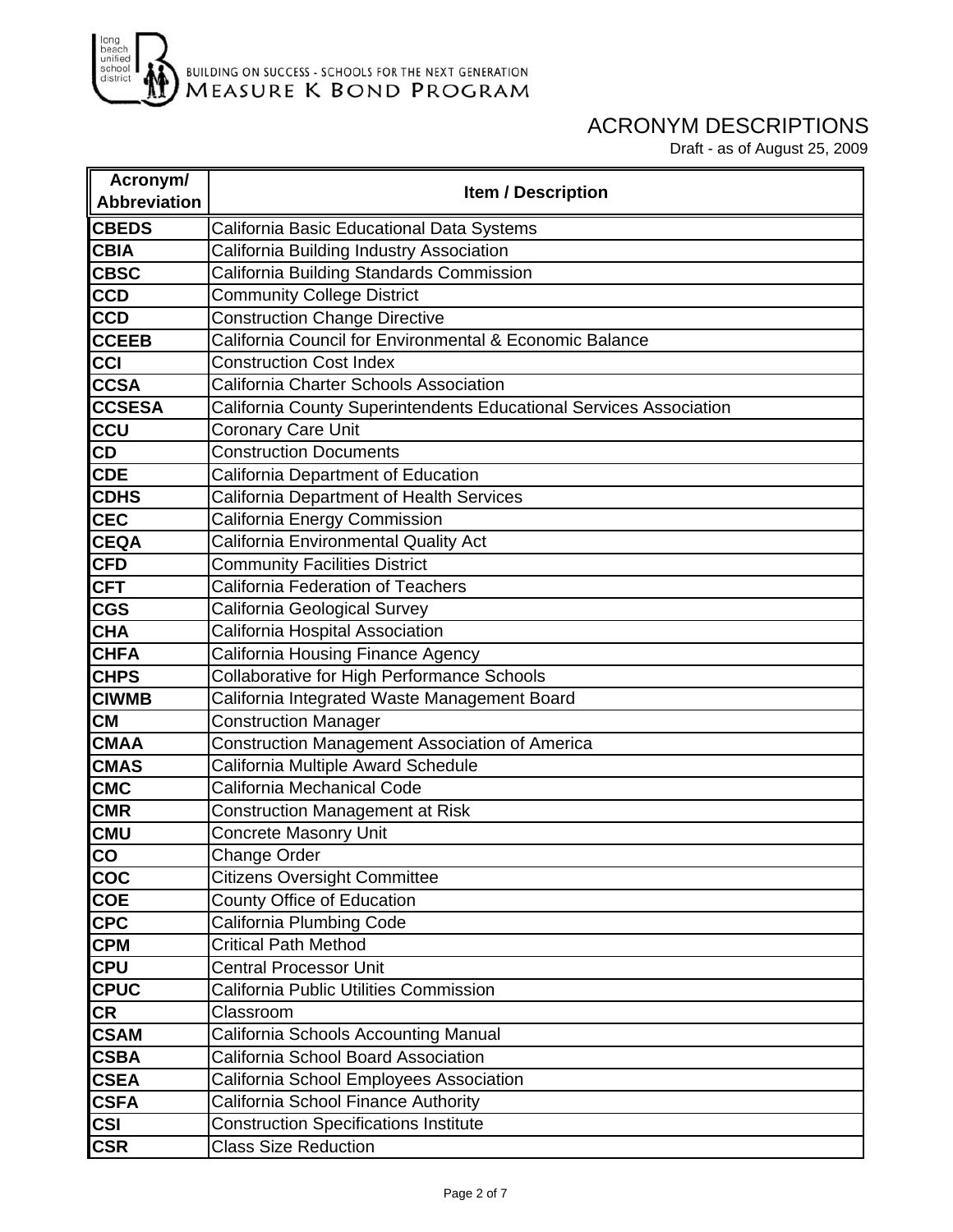

| Acronym/            | <b>Item / Description</b>                                          |
|---------------------|--------------------------------------------------------------------|
| <b>Abbreviation</b> |                                                                    |
| <b>CBEDS</b>        | California Basic Educational Data Systems                          |
| <b>CBIA</b>         | California Building Industry Association                           |
| <b>CBSC</b>         | California Building Standards Commission                           |
| <b>CCD</b>          | <b>Community College District</b>                                  |
| <b>CCD</b>          | <b>Construction Change Directive</b>                               |
| <b>CCEEB</b>        | California Council for Environmental & Economic Balance            |
| CCI                 | <b>Construction Cost Index</b>                                     |
| <b>CCSA</b>         | <b>California Charter Schools Association</b>                      |
| <b>CCSESA</b>       | California County Superintendents Educational Services Association |
| <b>CCU</b>          | <b>Coronary Care Unit</b>                                          |
| CD                  | <b>Construction Documents</b>                                      |
| <b>CDE</b>          | California Department of Education                                 |
| <b>CDHS</b>         | California Department of Health Services                           |
| <b>CEC</b>          | California Energy Commission                                       |
| <b>CEQA</b>         | California Environmental Quality Act                               |
| <b>CFD</b>          | <b>Community Facilities District</b>                               |
| <b>CFT</b>          | <b>California Federation of Teachers</b>                           |
| <b>CGS</b>          | California Geological Survey                                       |
| <b>CHA</b>          | California Hospital Association                                    |
| <b>CHFA</b>         | California Housing Finance Agency                                  |
| <b>CHPS</b>         | Collaborative for High Performance Schools                         |
| <b>CIWMB</b>        | California Integrated Waste Management Board                       |
| <b>CM</b>           | <b>Construction Manager</b>                                        |
| <b>CMAA</b>         | Construction Management Association of America                     |
| <b>CMAS</b>         | California Multiple Award Schedule                                 |
| <b>CMC</b>          | California Mechanical Code                                         |
| <b>CMR</b>          | <b>Construction Management at Risk</b>                             |
| <b>CMU</b>          | <b>Concrete Masonry Unit</b>                                       |
| CO                  | Change Order                                                       |
| COC                 | <b>Citizens Oversight Committee</b>                                |
| <b>COE</b>          | County Office of Education                                         |
| <b>CPC</b>          | California Plumbing Code                                           |
| <b>CPM</b>          | <b>Critical Path Method</b>                                        |
| <b>CPU</b>          | <b>Central Processor Unit</b>                                      |
| <b>CPUC</b>         | California Public Utilities Commission                             |
| <b>CR</b>           | Classroom                                                          |
| <b>CSAM</b>         | California Schools Accounting Manual                               |
| <b>CSBA</b>         | California School Board Association                                |
| <b>CSEA</b>         | California School Employees Association                            |
| <b>CSFA</b>         | California School Finance Authority                                |
| <b>CSI</b>          | <b>Construction Specifications Institute</b>                       |
| <b>CSR</b>          | <b>Class Size Reduction</b>                                        |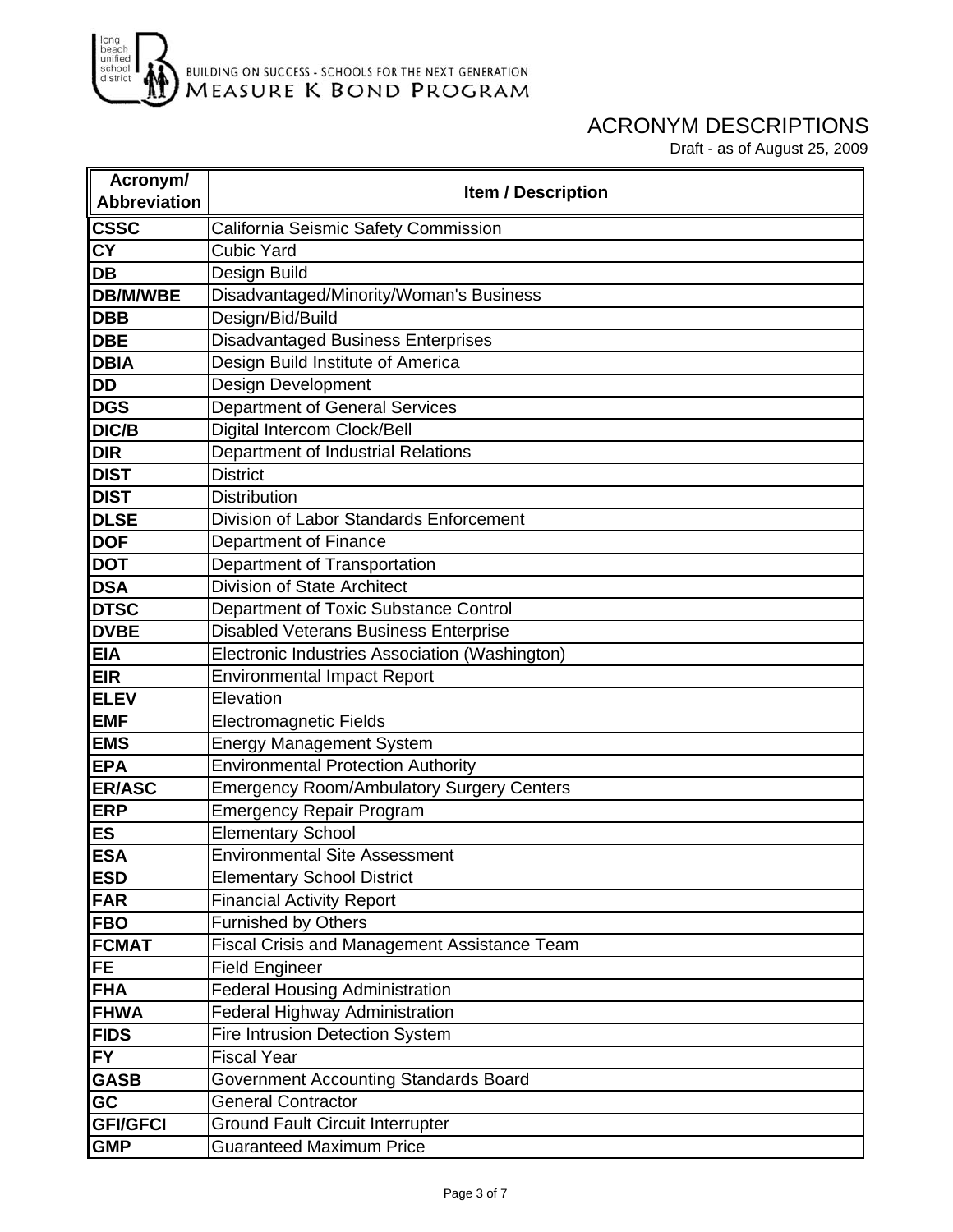

| Acronym/            | <b>Item / Description</b>                        |
|---------------------|--------------------------------------------------|
| <b>Abbreviation</b> |                                                  |
| csc                 | California Seismic Safety Commission             |
| <b>CY</b>           | <b>Cubic Yard</b>                                |
| DB                  | Design Build                                     |
| <b>DB/M/WBE</b>     | Disadvantaged/Minority/Woman's Business          |
| <b>DBB</b>          | Design/Bid/Build                                 |
| <b>DBE</b>          | <b>Disadvantaged Business Enterprises</b>        |
| <b>DBIA</b>         | Design Build Institute of America                |
| <b>DD</b>           | Design Development                               |
| <b>DGS</b>          | <b>Department of General Services</b>            |
| DIC/B               | Digital Intercom Clock/Bell                      |
| <b>DIR</b>          | Department of Industrial Relations               |
| <b>DIST</b>         | <b>District</b>                                  |
| <b>DIST</b>         | <b>Distribution</b>                              |
| <b>DLSE</b>         | Division of Labor Standards Enforcement          |
| <b>DOF</b>          | <b>Department of Finance</b>                     |
| <b>DOT</b>          | Department of Transportation                     |
| <b>DSA</b>          | <b>Division of State Architect</b>               |
| <b>DTSC</b>         | Department of Toxic Substance Control            |
| <b>DVBE</b>         | <b>Disabled Veterans Business Enterprise</b>     |
| <b>EIA</b>          | Electronic Industries Association (Washington)   |
| <b>EIR</b>          | <b>Environmental Impact Report</b>               |
| <b>ELEV</b>         | Elevation                                        |
| <b>EMF</b>          | <b>Electromagnetic Fields</b>                    |
| <b>EMS</b>          | <b>Energy Management System</b>                  |
| <b>EPA</b>          | <b>Environmental Protection Authority</b>        |
| <b>ER/ASC</b>       | <b>Emergency Room/Ambulatory Surgery Centers</b> |
| <b>ERP</b>          | <b>Emergency Repair Program</b>                  |
| <b>ES</b>           | <b>Elementary School</b>                         |
| <b>ESA</b>          | <b>Environmental Site Assessment</b>             |
| <b>ESD</b>          | <b>Elementary School District</b>                |
| <b>FAR</b>          | <b>Financial Activity Report</b>                 |
| <b>FBO</b>          | <b>Furnished by Others</b>                       |
| <b>FCMAT</b>        | Fiscal Crisis and Management Assistance Team     |
| <b>FE</b>           | <b>Field Engineer</b>                            |
| <b>FHA</b>          | <b>Federal Housing Administration</b>            |
| <b>FHWA</b>         | Federal Highway Administration                   |
| <b>FIDS</b>         | Fire Intrusion Detection System                  |
| <b>FY</b>           | <b>Fiscal Year</b>                               |
| <b>GASB</b>         | Government Accounting Standards Board            |
| <b>GC</b>           | <b>General Contractor</b>                        |
| <b>GFI/GFCI</b>     | <b>Ground Fault Circuit Interrupter</b>          |
| <b>GMP</b>          | <b>Guaranteed Maximum Price</b>                  |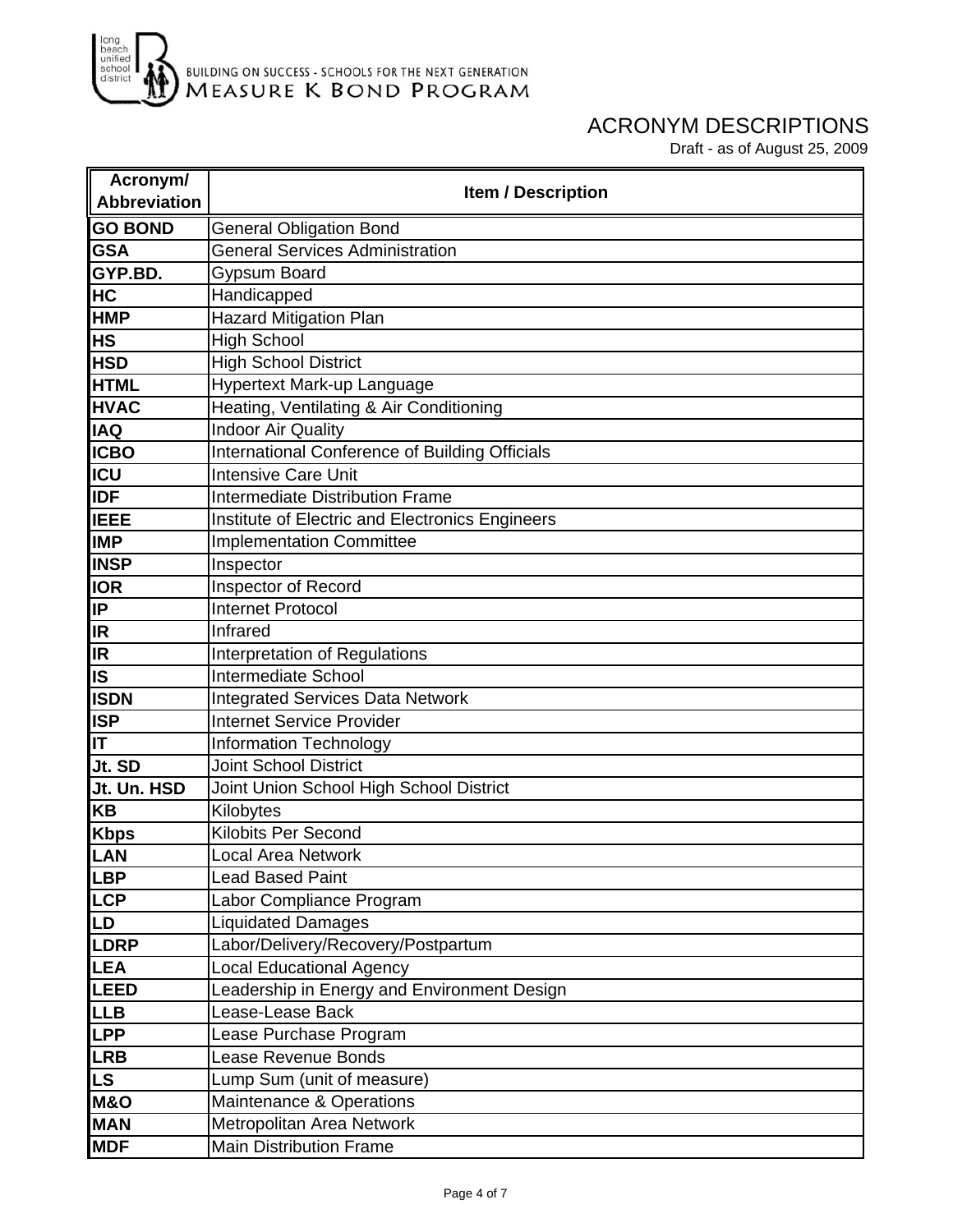

| Acronym/                | <b>Item / Description</b>                       |
|-------------------------|-------------------------------------------------|
| <b>Abbreviation</b>     |                                                 |
| <b>GO BOND</b>          | <b>General Obligation Bond</b>                  |
| <b>GSA</b>              | <b>General Services Administration</b>          |
| GYP.BD.                 | Gypsum Board                                    |
| HC                      | Handicapped                                     |
| <b>HMP</b>              | Hazard Mitigation Plan                          |
| <b>HS</b>               | <b>High School</b>                              |
| <b>HSD</b>              | <b>High School District</b>                     |
| <b>HTML</b>             | Hypertext Mark-up Language                      |
| <b>HVAC</b>             | Heating, Ventilating & Air Conditioning         |
| <b>IAQ</b>              | <b>Indoor Air Quality</b>                       |
| <b>ICBO</b>             | International Conference of Building Officials  |
| <b>ICU</b>              | <b>Intensive Care Unit</b>                      |
| <b>IDF</b>              | Intermediate Distribution Frame                 |
| <b>IEEE</b>             | Institute of Electric and Electronics Engineers |
| <b>IMP</b>              | <b>Implementation Committee</b>                 |
| <b>INSP</b>             | Inspector                                       |
| <b>IOR</b>              | Inspector of Record                             |
| <b>IP</b>               | <b>Internet Protocol</b>                        |
| <b>IR</b>               | Infrared                                        |
| IR.                     | Interpretation of Regulations                   |
| $\overline{\mathsf{s}}$ | <b>Intermediate School</b>                      |
| <b>ISDN</b>             | <b>Integrated Services Data Network</b>         |
| <b>ISP</b>              | <b>Internet Service Provider</b>                |
| IT                      | <b>Information Technology</b>                   |
| Jt. SD                  | <b>Joint School District</b>                    |
| Jt. Un. HSD             | Joint Union School High School District         |
| KB                      | Kilobytes                                       |
| <b>Kbps</b>             | Kilobits Per Second                             |
| LAN                     | <b>Local Area Network</b>                       |
| <b>LBP</b>              | <b>Lead Based Paint</b>                         |
| <b>LCP</b>              | Labor Compliance Program                        |
| LD                      | <b>Liquidated Damages</b>                       |
| <b>LDRP</b>             | Labor/Delivery/Recovery/Postpartum              |
| <b>LEA</b>              | <b>Local Educational Agency</b>                 |
| <b>LEED</b>             | Leadership in Energy and Environment Design     |
| <b>LLB</b>              | Lease-Lease Back                                |
| <b>LPP</b>              | Lease Purchase Program                          |
| <b>LRB</b>              | <b>Lease Revenue Bonds</b>                      |
| <b>LS</b>               | Lump Sum (unit of measure)                      |
| <b>M&amp;O</b>          | Maintenance & Operations                        |
| <b>MAN</b>              | Metropolitan Area Network                       |
| <b>MDF</b>              | <b>Main Distribution Frame</b>                  |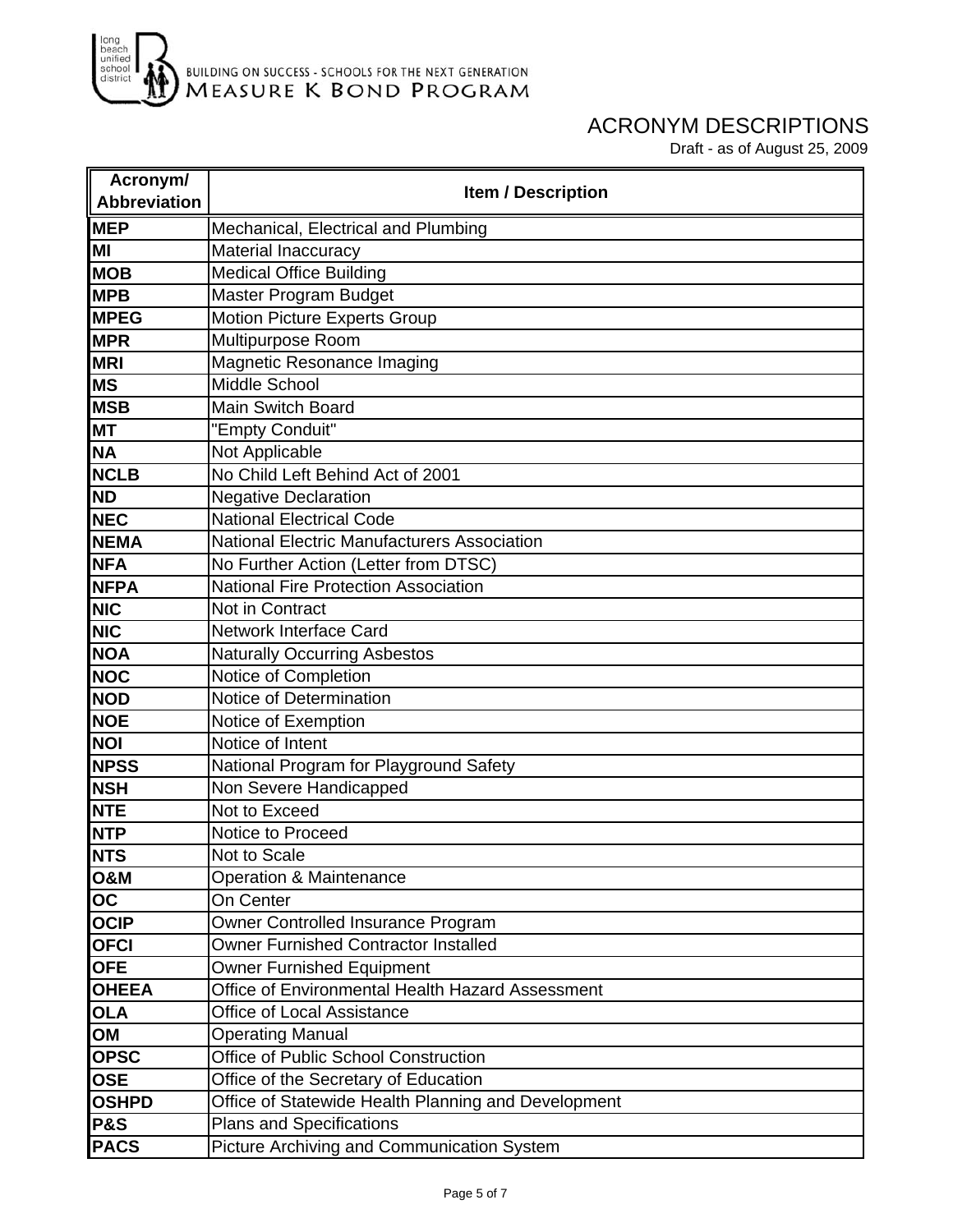

| Acronym/            | <b>Item / Description</b>                           |
|---------------------|-----------------------------------------------------|
| <b>Abbreviation</b> |                                                     |
| <b>MEP</b>          | Mechanical, Electrical and Plumbing                 |
| MI                  | Material Inaccuracy                                 |
| <b>MOB</b>          | <b>Medical Office Building</b>                      |
| <b>MPB</b>          | Master Program Budget                               |
| <b>MPEG</b>         | <b>Motion Picture Experts Group</b>                 |
| <b>MPR</b>          | Multipurpose Room                                   |
| <b>MRI</b>          | Magnetic Resonance Imaging                          |
| <b>MS</b>           | Middle School                                       |
| <b>MSB</b>          | <b>Main Switch Board</b>                            |
| <b>MT</b>           | "Empty Conduit"                                     |
| <b>NA</b>           | Not Applicable                                      |
| <b>NCLB</b>         | No Child Left Behind Act of 2001                    |
| <b>ND</b>           | <b>Negative Declaration</b>                         |
| <b>NEC</b>          | <b>National Electrical Code</b>                     |
| <b>NEMA</b>         | <b>National Electric Manufacturers Association</b>  |
| <b>NFA</b>          | No Further Action (Letter from DTSC)                |
| <b>NFPA</b>         | <b>National Fire Protection Association</b>         |
| <b>NIC</b>          | Not in Contract                                     |
| NIC                 | <b>Network Interface Card</b>                       |
| <b>NOA</b>          | <b>Naturally Occurring Asbestos</b>                 |
| <b>NOC</b>          | Notice of Completion                                |
| <b>NOD</b>          | Notice of Determination                             |
| <b>NOE</b>          | Notice of Exemption                                 |
| <b>NOI</b>          | Notice of Intent                                    |
| <b>NPSS</b>         | National Program for Playground Safety              |
| <b>NSH</b>          | Non Severe Handicapped                              |
| <b>NTE</b>          | Not to Exceed                                       |
| <b>NTP</b>          | Notice to Proceed                                   |
| <b>NTS</b>          | Not to Scale                                        |
| <b>O&amp;M</b>      | <b>Operation &amp; Maintenance</b>                  |
| OC                  | On Center                                           |
| <b>OCIP</b>         | Owner Controlled Insurance Program                  |
| <b>OFCI</b>         | <b>Owner Furnished Contractor Installed</b>         |
| <b>OFE</b>          | <b>Owner Furnished Equipment</b>                    |
| <b>OHEEA</b>        | Office of Environmental Health Hazard Assessment    |
| <b>OLA</b>          | <b>Office of Local Assistance</b>                   |
| OM                  | <b>Operating Manual</b>                             |
| <b>OPSC</b>         | Office of Public School Construction                |
| <b>OSE</b>          | Office of the Secretary of Education                |
| <b>OSHPD</b>        | Office of Statewide Health Planning and Development |
| <b>P&amp;S</b>      | <b>Plans and Specifications</b>                     |
| <b>PACS</b>         | Picture Archiving and Communication System          |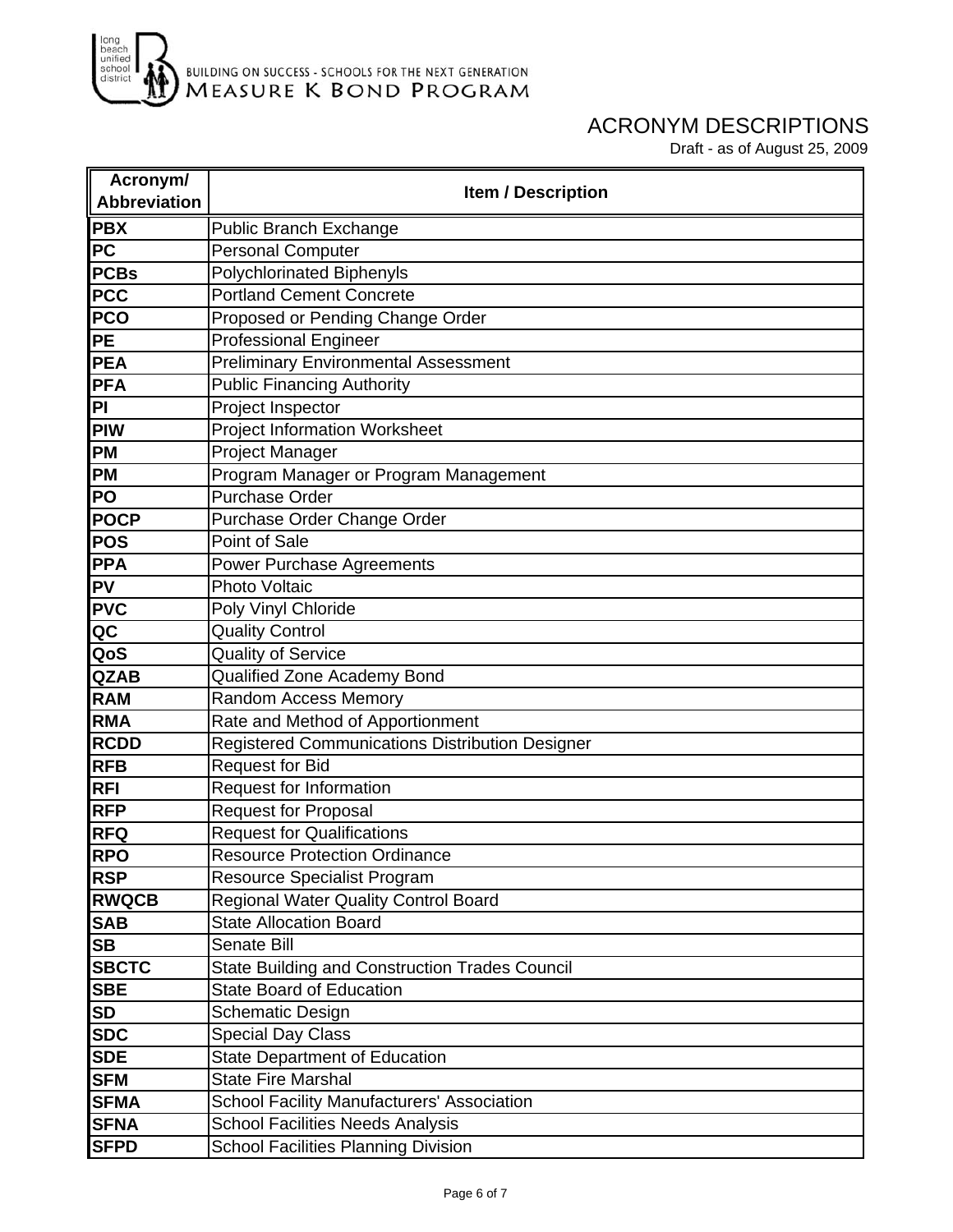

| Acronym/                          | <b>Item / Description</b>                              |
|-----------------------------------|--------------------------------------------------------|
| <b>Abbreviation</b>               |                                                        |
| <b>PBX</b>                        | <b>Public Branch Exchange</b>                          |
| <b>PC</b>                         | <b>Personal Computer</b>                               |
| <b>PCBs</b>                       | <b>Polychlorinated Biphenyls</b>                       |
| <b>PCC</b>                        | <b>Portland Cement Concrete</b>                        |
| <b>PCO</b>                        | Proposed or Pending Change Order                       |
| <b>PE</b>                         | <b>Professional Engineer</b>                           |
| <b>PEA</b>                        | <b>Preliminary Environmental Assessment</b>            |
| <b>PFA</b>                        | <b>Public Financing Authority</b>                      |
| PI                                | Project Inspector                                      |
| <b>PIW</b>                        | <b>Project Information Worksheet</b>                   |
| <b>PM</b>                         | <b>Project Manager</b>                                 |
| <b>PM</b>                         | Program Manager or Program Management                  |
| <b>PO</b>                         | <b>Purchase Order</b>                                  |
| <b>POCP</b>                       | Purchase Order Change Order                            |
| <b>POS</b>                        | Point of Sale                                          |
| <b>PPA</b>                        | Power Purchase Agreements                              |
| <b>PV</b>                         | <b>Photo Voltaic</b>                                   |
| <b>PVC</b>                        | Poly Vinyl Chloride                                    |
| $\overline{\mathsf{Q}}\mathsf{C}$ | <b>Quality Control</b>                                 |
| QoS                               | <b>Quality of Service</b>                              |
| <b>QZAB</b>                       | Qualified Zone Academy Bond                            |
| <b>RAM</b>                        | Random Access Memory                                   |
| <b>RMA</b>                        | Rate and Method of Apportionment                       |
| <b>RCDD</b>                       | <b>Registered Communications Distribution Designer</b> |
| <b>RFB</b>                        | <b>Request for Bid</b>                                 |
| <b>RFI</b>                        | <b>Request for Information</b>                         |
| <b>RFP</b>                        | <b>Request for Proposal</b>                            |
| <b>RFQ</b>                        | <b>Request for Qualifications</b>                      |
| <b>RPO</b>                        | <b>Resource Protection Ordinance</b>                   |
| <b>RSP</b>                        | <b>Resource Specialist Program</b>                     |
| <b>RWQCB</b>                      | Regional Water Quality Control Board                   |
| <b>SAB</b>                        | <b>State Allocation Board</b>                          |
| <b>SB</b>                         | Senate Bill                                            |
| <b>SBCTC</b>                      | <b>State Building and Construction Trades Council</b>  |
| <b>SBE</b>                        | <b>State Board of Education</b>                        |
| <b>SD</b>                         | <b>Schematic Design</b>                                |
| <b>SDC</b>                        | <b>Special Day Class</b>                               |
| <b>SDE</b>                        | <b>State Department of Education</b>                   |
| <b>SFM</b>                        | <b>State Fire Marshal</b>                              |
| <b>SFMA</b>                       | <b>School Facility Manufacturers' Association</b>      |
| <b>SFNA</b>                       | <b>School Facilities Needs Analysis</b>                |
| <b>SFPD</b>                       | <b>School Facilities Planning Division</b>             |